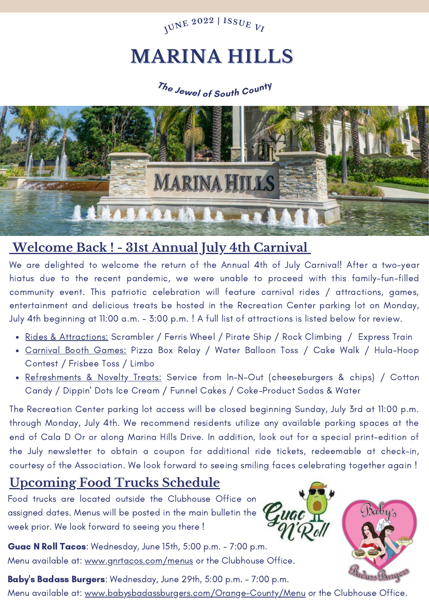

## **MARINA HILLS**

## **<sup>T</sup>h<sup>e</sup> <sup>J</sup>ewe<sup>l</sup> <sup>o</sup><sup>f</sup> <sup>S</sup>out<sup>h</sup> <sup>C</sup>ount<sup>y</sup>**



### **Welcome Back ! - 31st Annual July 4th Carnival**

We are delighted to welcome the return of the Annual 4th of July Carnival! After a two-year hiatus due to the recent pandemic, we were unable to proceed with this family-fun-filled community event. This patriotic celebration will feature carnival rides / attractions, games, entertainment and delicious treats be hosted in the Recreation Center parking lot on Monday, July 4th beginning at 11:00 a.m. - 3:00 p.m. ! A full list of attractions is listed below for review.

- Rides & Attractions: Scrambler / Ferris Wheel / Pirate Ship / Rock Climbing / Express Train
- Carnival Booth Games: Pizza Box Relay / Water Balloon Toss / Cake Walk / Hula-Hoop Contest / Frisbee Toss / Limbo
- Refreshments & Novelty Treats: Service from In-N-Out (cheeseburgers & chips) / Cotton Candy / Dippin' Dots Ice Cream / Funnel Cakes / Coke-Product Sodas & Water

The Recreation Center parking lot access will be closed beginning Sunday, July 3rd at 11:00 p.m. through Monday, July 4th. We recommend residents utilize any available parking spaces at the end of Cala D Or or along Marina Hills Drive. In addition, look out for a special print-edition of the July newsletter to obtain a coupon for additional ride tickets, redeemable at check-in, courtesy of the Association. We look forward to seeing smiling faces celebrating together again !

### **Upcoming Food Trucks Schedule**

Food trucks are located outside the Clubhouse Office on assigned dates. Menus will be posted in the main bulletin the  $\epsilon$ week prior. We look forward to seeing you there !

Guac N Roll Tacos: Wednesday, June 15th, 5:00 p.m. - 7:00 p.m. Menu available at: www.gnrtacos.com/menus or the Clubhouse Office.



Baby's Badass Burgers: Wednesday, June 29th, 5:00 p.m. - 7:00 p.m. Menu available at: www.babysbadassburgers.com/Orange-County/Menu or the Clubhouse Office.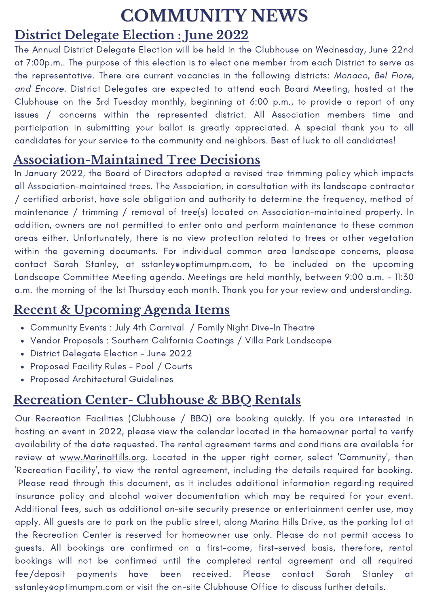# **COMMUNITY NEWS**

### **District Delegate Election : June 2022**

The Annual District Delegate Election will be held in the Clubhouse on Wednesday, June 22nd at 7:00p.m.. The purpose of this election is to elect one member from each District to serve as the representative. There are current vacancies in the following districts: Monaco, Bel Fiore, and Encore. District Delegates are expected to attend each Board Meeting, hosted at the Clubhouse on the 3rd Tuesday monthly, beginning at 6:00 p.m., to provide a report of any issues / concerns within the represented district. All Association members time and participation in submitting your ballot is greatly appreciated. A special thank you to all candidates for your service to the community and neighbors. Best of luck to all candidates!

## **Association-Maintained Tree Decisions**

In January 2022, the Board of Directors adopted a revised tree trimming policy which impacts all Association-maintained trees. The Association, in consultation with its landscape contractor / certified arborist, have sole obligation and authority to determine the frequency, method of maintenance / trimming / removal of tree(s) located on Association-maintained property. In addition, owners are not permitted to enter onto and perform maintenance to these common areas either. Unfortunately, there is no view protection related to trees or other vegetation within the governing documents. For individual common area landscape concerns, please contact Sarah Stanley, at sstanley@optimumpm.com, to be included on the upcoming Landscape Committee Meeting agenda. Meetings are held monthly, between 9:00 a.m. - 11:30 a.m. the morning of the 1st Thursday each month. Thank you for your review and understanding.

## **Recent & Upcoming Agenda Items**

- Community Events : July 4th Carnival / Family Night Dive-In Theatre
- Vendor Proposals : Southern California Coatings / Villa Park Landscape
- District Delegate Election June 2022
- Proposed Facility Rules Pool / Courts
- Proposed Architectural Guidelines

## **Recreation Center- Clubhouse & BBQ Rentals**

Our Recreation Facilities (Clubhouse / BBQ) are booking quickly. If you are interested in hosting an event in 2022, please view the calendar located in the homeowner portal to verify availability of the date requested. The rental agreement terms and conditions are available for review at www.MarinaHills.org. Located in the upper right corner, select 'Community', then 'Recreation Facility', to view the rental agreement, including the details required for booking. Please read through this document, as it includes additional information regarding required insurance policy and alcohol waiver documentation which may be required for your event. Additional fees, such as additional on-site security presence or entertainment center use, may apply. All guests are to park on the public street, along Marina Hills Drive, as the parking lot at the Recreation Center is reserved for homeowner use only. Please do not permit access to guests. All bookings are confirmed on a first-come, first-served basis, therefore, rental bookings will not be confirmed until the completed rental agreement and all required fee/deposit payments have been received. Please contact Sarah Stanley at sstanley eoptimumpm.com or visit the on-site Clubhouse Office to discuss further details.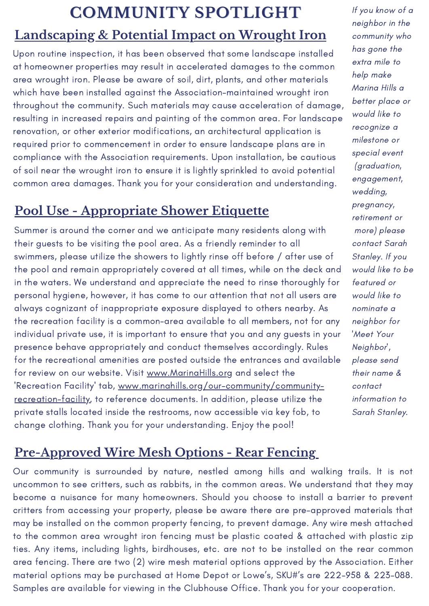## **COMMUNITY SPOTLIGHT** If you know of a

## **Landscaping & Potential Impact on Wrought Iron**

Upon routine inspection, it has been observed that some landscape installed at homeowner properties may result in accelerated damages to the common area wrought iron. Please be aware of soil, dirt, plants, and other materials which have been installed against the Association-maintained wrought iron throughout the community. Such materials may cause acceleration of damage, resulting in increased repairs and painting of the common area. For landscape renovation, or other exterior modifications, an architectural application is required prior to commencement in order to ensure landscape plans are in compliance with the Association requirements. Upon installation, be cautious of soil near the wrought iron to ensure it is lightly sprinkled to avoid potential common area damages. Thank you for your consideration and understanding.

## **Pool Use - Appropriate Shower Etiquette**

Summer is around the corner and we anticipate many residents along with their guests to be visiting the pool area. As a friendly reminder to all swimmers, please utilize the showers to lightly rinse off before / after use of the pool and remain appropriately covered at all times, while on the deck and in the waters. We understand and appreciate the need to rinse thoroughly for personal hygiene, however, it has come to our attention that not all users are always cognizant of inappropriate exposure displayed to others nearby. As the recreation facility is a common-area available to all members, not for any individual private use, it is important to ensure that you and any guests in your presence behave appropriately and conduct themselves accordingly. Rules for the recreational amenities are posted outside the entrances and available for review on our website. Visit www.MarinaHills.org and select the 'Recreation Facility' tab, www.marinahills.org/our-community/communityrecreation-facility, to reference documents. In addition, please utilize the private stalls located inside the restrooms, now accessible via key fob, to change clothing. Thank you for your understanding. Enjoy the pool!

neighbor in the community who has gone the extra mile to help make Marina Hills a better place or would like to recognize a milestone or special event (graduation, engagement, wedding, pregnancy, retirement or more) please contact Sarah Stanley. If you would like to be featured or would like to nominate a neighbor for 'Meet Your Neighbor', please send their name & contact information to Sarah Stanley.

## **Pre-Approved Wire Mesh Options - Rear Fencing**

Our community is surrounded by nature, nestled among hills and walking trails. It is not uncommon to see critters, such as rabbits, in the common areas. We understand that they may become a nuisance for many homeowners. Should you choose to install a barrier to prevent critters from accessing your property, please be aware there are pre-approved materials that may be installed on the common property fencing, to prevent damage. Any wire mesh attached to the common area wrought iron fencing must be plastic coated & attached with plastic zip ties. Any items, including lights, birdhouses, etc. are not to be installed on the rear common area fencing. There are two (2) wire mesh material options approved by the Association. Either material options may be purchased at Home Depot or Lowe's, SKU#'s are 222-958 & 223-088. Samples are available for viewing in the Clubhouse Office. Thank you for your cooperation.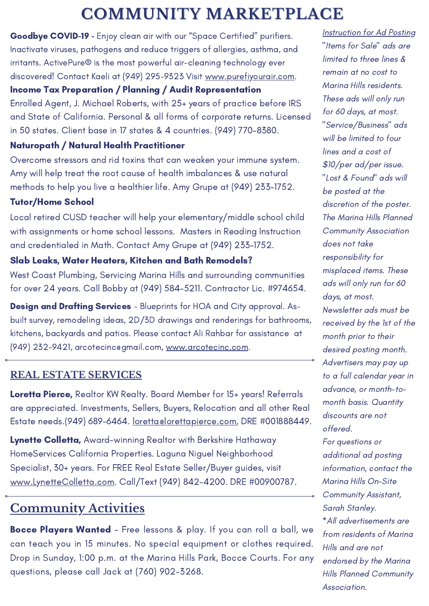## **COMMUNITY MARKETPLACE**

Goodbye COVID-19 - Enjoy clean air with our "Space Certified" purifiers. Inactivate viruses, pathogens and reduce triggers of allergies, asthma, and irritants. ActivePure® is the most powerful air-cleaning technology ever discovered! Contact Kaeli at (949) 295-9323 Visit [www.purefiyourair.com](https://nam11.safelinks.protection.outlook.com/?url=http%3A%2F%2Fwww.purefiyourair.com%2F&data=04%7C01%7C%7C6e86777c505b48019de008d9cbda263a%7C4ace78b2720442268a456b455466ce43%7C0%7C0%7C637764960083930506%7CUnknown%7CTWFpbGZsb3d8eyJWIjoiMC4wLjAwMDAiLCJQIjoiV2luMzIiLCJBTiI6Ik1haWwiLCJXVCI6Mn0%3D%7C3000&sdata=kBilyS5ru%2BNQFYEjAF0YJWpaROpdTfPAlQniPPEy3M0%3D&reserved=0).

Income Tax Preparation / Planning / Audit Representation

Enrolled Agent, J. Michael Roberts, with 25+ years of practice before IRS and State of California. Personal & all forms of corporate returns. Licensed in 50 states. Client base in 17 states & 4 countries. (949) 770-8380.

#### Naturopath / Natural Health Practitioner

Overcome stressors and rid toxins that can weaken your immune system. Amy will help treat the root cause of health imbalances & use natural methods to help you live a healthier life. Amy Grupe at (949) 233-1752.

#### Tutor/Home School

Local retired CUSD teacher will help your elementary/middle school child with assignments or home school lessons. Masters in Reading Instruction and credentialed in Math. Contact Amy Grupe at (949) 233-1752.

#### Slab Leaks, Water Heaters, Kitchen and Bath Remodels?

West Coast Plumbing, Servicing Marina Hills and surrounding communities for over 24 years. Call Bobby at (949) 584-5211. Contractor Lic. #974654.

**Design and Drafting Services** - Blueprints for HOA and City approval. Asbuilt survey, remodeling ideas, 2D/3D drawings and renderings for bathrooms, kitchens, backyards and patios. Please contact Ali Rahbar for assistance at (949) 232-9421, [arcotecinc@gmail.com](mailto:arcotecinc@gmail.com), [www.arcotecinc.com.](https://nam11.safelinks.protection.outlook.com/?url=http%3A%2F%2Fwww.arcotecinc.com%2F&data=04%7C01%7C%7C1b9900c2a8984d2574b408d90fe47c00%7C4ace78b2720442268a456b455466ce43%7C0%7C0%7C637558296324509646%7CUnknown%7CTWFpbGZsb3d8eyJWIjoiMC4wLjAwMDAiLCJQIjoiV2luMzIiLCJBTiI6Ik1haWwiLCJXVCI6Mn0%3D%7C1000&sdata=%2BLxJPdu%2FVueLS54zLicjLIRi%2BNHZb%2BV2p5d%2BLhNHsd0%3D&reserved=0)

#### **REAL ESTATE SERVICES**

Loretta Pierce, Realtor KW Realty. Board Member for 15+ years! Referrals are appreciated. Investments, Sellers, Buyers, Relocation and all other Real Estate needs.(949) 689-6464. loretta eloretta pierce.com, DRE #001888449.

Lynette Colletta, Award-winning Realtor with Berkshire Hathaway HomeServices California Properties. Laguna Niguel Neighborhood Specialist, 30+ years. For FREE Real Estate Seller/Buyer guides, visit [www.LynetteColletta.com.](https://nam11.safelinks.protection.outlook.com/?url=http%3A%2F%2Fwww.lynettecolletta.com%2F&data=04%7C01%7C%7Cadc23b763b2543bb5c6008d93b332b19%7C4ace78b2720442268a456b455466ce43%7C0%7C0%7C637605913234081859%7CUnknown%7CTWFpbGZsb3d8eyJWIjoiMC4wLjAwMDAiLCJQIjoiV2luMzIiLCJBTiI6Ik1haWwiLCJXVCI6Mn0%3D%7C1000&sdata=h%2BX1U9KLAJ5J1%2FFMS0Hb9qajJfIAIJeWCGdN3baWRpI%3D&reserved=0) Call/Text (949) 842-4200. DRE #00900787.

## **Community Activities**

Bocce Players Wanted - Free lessons & play. If you can roll a ball, we can teach you in 15 minutes. No special equipment or clothes required. Drop in Sunday, 1:00 p.m. at the Marina Hills Park, Bocce Courts. For any questions, please call Jack at (760) 902-3268.

Instruction for Ad Posting "Items for Sale" ads are limited to three lines & remain at no cost to Marina Hills residents. These ads will only run for 60 days, at most. "Service/Business" ads will be limited to four lines and a cost of \$10/per ad/per issue. "Lost & Found" ads will be posted at the discretion of the poster. The Marina Hills Planned Community Association does not take responsibility for misplaced items. These ads will only run for 60 days, at most. Newsletter ads must be received by the 1st of the month prior to their desired posting month. Advertisers may pay up to a full calendar year in advance, or month-tomonth basis. Quantity discounts are not offered. For questions or additional ad posting information, contact the Marina Hills On-Site Community Assistant, Sarah Stanley. \*All advertisements are from residents of Marina Hills and are not endorsed by the Marina Hills Planned Community Association.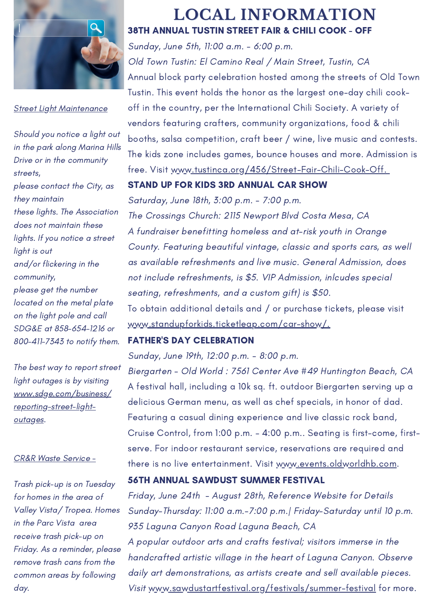

**Street Light Maintenance** 

Should you notice a light out in the park along Marina Hills Drive or in the community streets, please contact the City, as they maintain these lights. The Association does not maintain these lights. If you notice a street light is out and/or flickering in the community, please get the number located on the metal plate on the light pole and call SDG&E at 858-654-1216 or 800-411-7343 to notify them.

The best way to report street light outages is by visiting www.sdge.com/business/ reporting-street-lightoutages.

#### CR&R Waste Service -

Trash pick-up is on Tuesday for homes in the area of Valley Vista/ Tropea. Homes in the Parc Vista area receive trash pick-up on Friday. As a reminder, please remove trash cans from the common areas by following day.

#### 38TH ANNUAL TUSTIN STREET FAIR & CHILI COOK - OFF **LOCAL INFORMATION**

Sunday, June 5th, 11:00 a.m. - 6:00 p.m. Old Town Tustin: El Camino Real / Main Street, Tustin, CA Annual block party celebration hosted among the streets of Old Town Tustin. This event holds the honor as the largest one-day chili cook off in the country, per the International Chili Society. A variety of vendors featuring crafters, community organizations, food & chili booths, salsa competition, craft beer / wine, live music and contests. The kids zone includes games, bounce houses and more. Admission is free. Visit www.tustinca.org/456/Street-Fair-Chili-Cook-Off.

#### STAND UP FOR KIDS 3RD ANNUAL CAR SHOW

Saturday, June 18th, 3:00 p.m. - 7:00 p.m. The Crossings Church: 2115 Newport Blvd Costa Mesa, CA A fundraiser benefitting homeless and at-risk youth in Orange County. Featuring beautiful vintage, classic and sports cars, as well as available refreshments and live music. General Admission, does not include refreshments, is \$5. VIP Admission, inlcudes special seating, refreshments, and a custom gift) is \$50. To obtain additional details and / or purchase tickets, please visit www.standupforkids.ticketleap.com/car-show/.

#### FATHER'S DAY CELEBRATION

Sunday, June 19th, 12:00 p.m. - 8:00 p.m.

Biergarten - Old World : 7561 Center Ave #49 Huntington Beach, CA A festival hall, including a 10k sq. ft. outdoor Biergarten serving up a delicious German menu, as well as chef specials, in honor of dad. Featuring a casual dining experience and live classic rock band, Cruise Control, from 1:00 p.m. – 4:00 p.m.. Seating is first-come, firstserve. For indoor restaurant service, reservations are required and there is no live entertainment. Visit www.events.oldworldhb.com.

#### 56TH ANNUAL SAWDUST SUMMER FESTIVAL

Friday, June 24th - August 28th, Reference Website for Details Sunday-Thursday: 11:00 a.m.-7:00 p.m.| Friday-Saturday until 10 p.m. 935 Laguna Canyon Road Laguna Beach, CA A popular outdoor arts and crafts festival; visitors immerse in the handcrafted artistic village in the heart of Laguna Canyon. Observe daily art demonstrations, as artists create and sell available pieces. Visit www.sawdustartfestival.org/festivals/summer-festival for more.